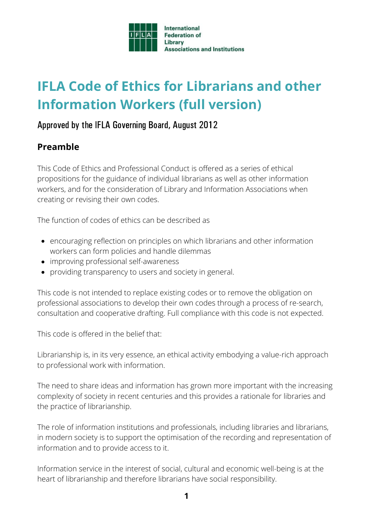

# **IFLA Code of Ethics for Librarians and other Information Workers (full version)**

### Approved by the IFLA Governing Board, August 2012

## **Preamble**

This Code of Ethics and Professional Conduct is offered as a series of ethical propositions for the guidance of individual librarians as well as other information workers, and for the consideration of Library and Information Associations when creating or revising their own codes.

The function of codes of ethics can be described as

- encouraging reflection on principles on which librarians and other information workers can form policies and handle dilemmas
- improving professional self-awareness
- providing transparency to users and society in general.

This code is not intended to replace existing codes or to remove the obligation on professional associations to develop their own codes through a process of re-search, consultation and cooperative drafting. Full compliance with this code is not expected.

This code is offered in the belief that:

Librarianship is, in its very essence, an ethical activity embodying a value-rich approach to professional work with information.

The need to share ideas and information has grown more important with the increasing complexity of society in recent centuries and this provides a rationale for libraries and the practice of librarianship.

The role of information institutions and professionals, including libraries and librarians, in modern society is to support the optimisation of the recording and representation of information and to provide access to it.

Information service in the interest of social, cultural and economic well-being is at the heart of librarianship and therefore librarians have social responsibility.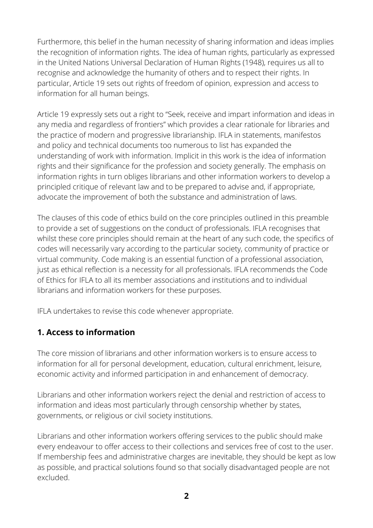Furthermore, this belief in the human necessity of sharing information and ideas implies the recognition of information rights. The idea of human rights, particularly as expressed in the United Nations Universal Declaration of Human Rights (1948), requires us all to recognise and acknowledge the humanity of others and to respect their rights. In particular, Article 19 sets out rights of freedom of opinion, expression and access to information for all human beings.

Article 19 expressly sets out a right to "Seek, receive and impart information and ideas in any media and regardless of frontiers" which provides a clear rationale for libraries and the practice of modern and progressive librarianship. IFLA in statements, manifestos and policy and technical documents too numerous to list has expanded the understanding of work with information. Implicit in this work is the idea of information rights and their significance for the profession and society generally. The emphasis on information rights in turn obliges librarians and other information workers to develop a principled critique of relevant law and to be prepared to advise and, if appropriate, advocate the improvement of both the substance and administration of laws.

The clauses of this code of ethics build on the core principles outlined in this preamble to provide a set of suggestions on the conduct of professionals. IFLA recognises that whilst these core principles should remain at the heart of any such code, the specifics of codes will necessarily vary according to the particular society, community of practice or virtual community. Code making is an essential function of a professional association, just as ethical reflection is a necessity for all professionals. IFLA recommends the Code of Ethics for IFLA to all its member associations and institutions and to individual librarians and information workers for these purposes.

IFLA undertakes to revise this code whenever appropriate.

#### **1. Access to information**

The core mission of librarians and other information workers is to ensure access to information for all for personal development, education, cultural enrichment, leisure, economic activity and informed participation in and enhancement of democracy.

Librarians and other information workers reject the denial and restriction of access to information and ideas most particularly through censorship whether by states, governments, or religious or civil society institutions.

Librarians and other information workers offering services to the public should make every endeavour to offer access to their collections and services free of cost to the user. If membership fees and administrative charges are inevitable, they should be kept as low as possible, and practical solutions found so that socially disadvantaged people are not excluded.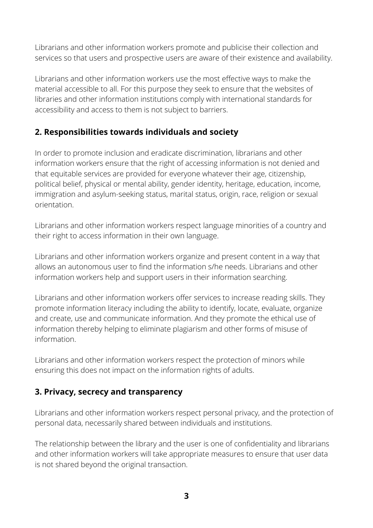Librarians and other information workers promote and publicise their collection and services so that users and prospective users are aware of their existence and availability.

Librarians and other information workers use the most effective ways to make the material accessible to all. For this purpose they seek to ensure that the websites of libraries and other information institutions comply with international standards for accessibility and access to them is not subject to barriers.

#### **2. Responsibilities towards individuals and society**

In order to promote inclusion and eradicate discrimination, librarians and other information workers ensure that the right of accessing information is not denied and that equitable services are provided for everyone whatever their age, citizenship, political belief, physical or mental ability, gender identity, heritage, education, income, immigration and asylum-seeking status, marital status, origin, race, religion or sexual orientation.

Librarians and other information workers respect language minorities of a country and their right to access information in their own language.

Librarians and other information workers organize and present content in a way that allows an autonomous user to find the information s/he needs. Librarians and other information workers help and support users in their information searching.

Librarians and other information workers offer services to increase reading skills. They promote information literacy including the ability to identify, locate, evaluate, organize and create, use and communicate information. And they promote the ethical use of information thereby helping to eliminate plagiarism and other forms of misuse of information.

Librarians and other information workers respect the protection of minors while ensuring this does not impact on the information rights of adults.

#### **3. Privacy, secrecy and transparency**

Librarians and other information workers respect personal privacy, and the protection of personal data, necessarily shared between individuals and institutions.

The relationship between the library and the user is one of confidentiality and librarians and other information workers will take appropriate measures to ensure that user data is not shared beyond the original transaction.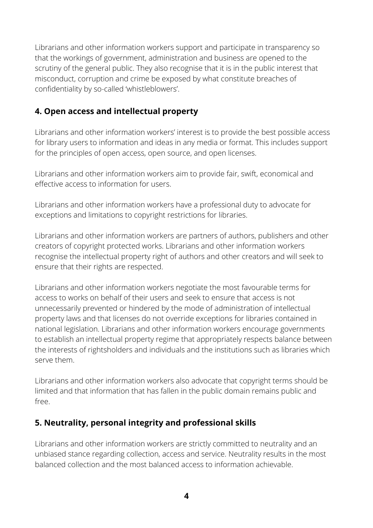Librarians and other information workers support and participate in transparency so that the workings of government, administration and business are opened to the scrutiny of the general public. They also recognise that it is in the public interest that misconduct, corruption and crime be exposed by what constitute breaches of confidentiality by so-called 'whistleblowers'.

#### **4. Open access and intellectual property**

Librarians and other information workers' interest is to provide the best possible access for library users to information and ideas in any media or format. This includes support for the principles of open access, open source, and open licenses.

Librarians and other information workers aim to provide fair, swift, economical and effective access to information for users.

Librarians and other information workers have a professional duty to advocate for exceptions and limitations to copyright restrictions for libraries.

Librarians and other information workers are partners of authors, publishers and other creators of copyright protected works. Librarians and other information workers recognise the intellectual property right of authors and other creators and will seek to ensure that their rights are respected.

Librarians and other information workers negotiate the most favourable terms for access to works on behalf of their users and seek to ensure that access is not unnecessarily prevented or hindered by the mode of administration of intellectual property laws and that licenses do not override exceptions for libraries contained in national legislation. Librarians and other information workers encourage governments to establish an intellectual property regime that appropriately respects balance between the interests of rightsholders and individuals and the institutions such as libraries which serve them.

Librarians and other information workers also advocate that copyright terms should be limited and that information that has fallen in the public domain remains public and free.

#### **5. Neutrality, personal integrity and professional skills**

Librarians and other information workers are strictly committed to neutrality and an unbiased stance regarding collection, access and service. Neutrality results in the most balanced collection and the most balanced access to information achievable.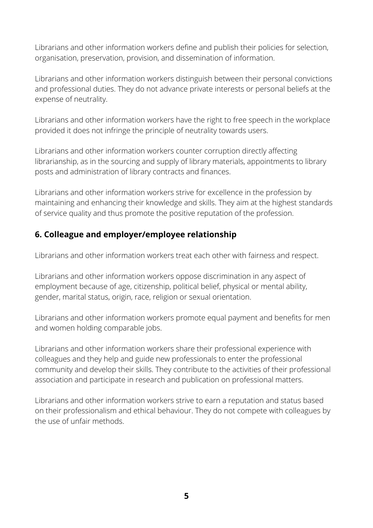Librarians and other information workers define and publish their policies for selection, organisation, preservation, provision, and dissemination of information.

Librarians and other information workers distinguish between their personal convictions and professional duties. They do not advance private interests or personal beliefs at the expense of neutrality.

Librarians and other information workers have the right to free speech in the workplace provided it does not infringe the principle of neutrality towards users.

Librarians and other information workers counter corruption directly affecting librarianship, as in the sourcing and supply of library materials, appointments to library posts and administration of library contracts and finances.

Librarians and other information workers strive for excellence in the profession by maintaining and enhancing their knowledge and skills. They aim at the highest standards of service quality and thus promote the positive reputation of the profession.

#### **6. Colleague and employer/employee relationship**

Librarians and other information workers treat each other with fairness and respect.

Librarians and other information workers oppose discrimination in any aspect of employment because of age, citizenship, political belief, physical or mental ability, gender, marital status, origin, race, religion or sexual orientation.

Librarians and other information workers promote equal payment and benefits for men and women holding comparable jobs.

Librarians and other information workers share their professional experience with colleagues and they help and guide new professionals to enter the professional community and develop their skills. They contribute to the activities of their professional association and participate in research and publication on professional matters.

Librarians and other information workers strive to earn a reputation and status based on their professionalism and ethical behaviour. They do not compete with colleagues by the use of unfair methods.